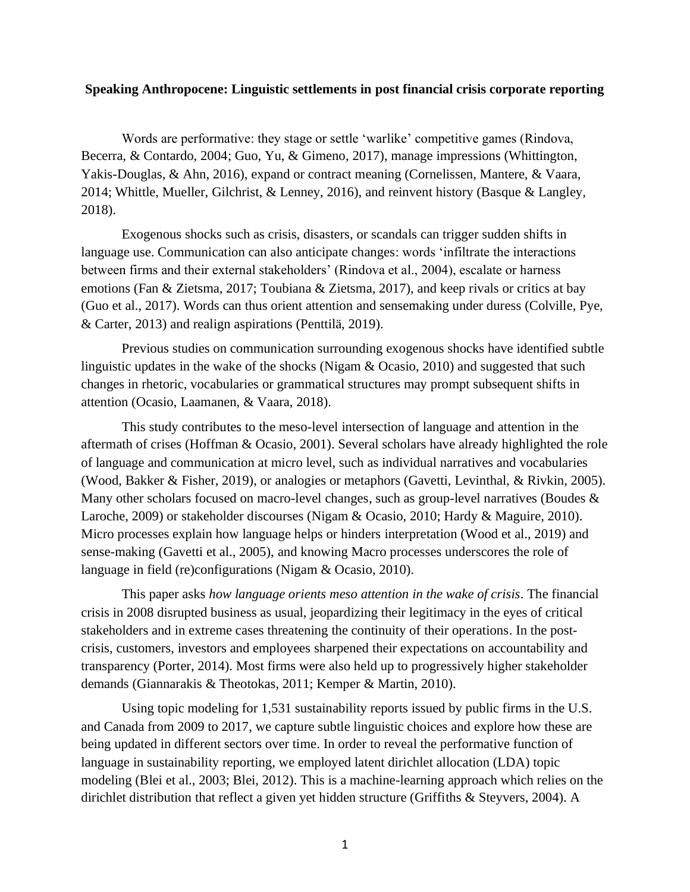## **Speaking Anthropocene: Linguistic settlements in post financial crisis corporate reporting**

Words are performative: they stage or settle 'warlike' competitive games (Rindova, Becerra, & Contardo, 2004; Guo, Yu, & Gimeno, 2017), manage impressions (Whittington, Yakis-Douglas, & Ahn, 2016), expand or contract meaning (Cornelissen, Mantere, & Vaara, 2014; Whittle, Mueller, Gilchrist, & Lenney, 2016), and reinvent history (Basque & Langley, 2018).

Exogenous shocks such as crisis, disasters, or scandals can trigger sudden shifts in language use. Communication can also anticipate changes: words 'infiltrate the interactions between firms and their external stakeholders' (Rindova et al., 2004), escalate or harness emotions (Fan & Zietsma, 2017; Toubiana & Zietsma, 2017), and keep rivals or critics at bay (Guo et al., 2017). Words can thus orient attention and sensemaking under duress (Colville, Pye, & Carter, 2013) and realign aspirations (Penttilä, 2019).

Previous studies on communication surrounding exogenous shocks have identified subtle linguistic updates in the wake of the shocks (Nigam & Ocasio, 2010) and suggested that such changes in rhetoric, vocabularies or grammatical structures may prompt subsequent shifts in attention (Ocasio, Laamanen, & Vaara, 2018).

This study contributes to the meso-level intersection of language and attention in the aftermath of crises (Hoffman & Ocasio, 2001). Several scholars have already highlighted the role of language and communication at micro level, such as individual narratives and vocabularies (Wood, Bakker & Fisher, 2019), or analogies or metaphors (Gavetti, Levinthal, & Rivkin, 2005). Many other scholars focused on macro-level changes, such as group-level narratives (Boudes & Laroche, 2009) or stakeholder discourses (Nigam & Ocasio, 2010; Hardy & Maguire, 2010). Micro processes explain how language helps or hinders interpretation (Wood et al., 2019) and sense-making (Gavetti et al., 2005), and knowing Macro processes underscores the role of language in field (re)configurations (Nigam & Ocasio, 2010).

This paper asks *how language orients meso attention in the wake of crisis*. The financial crisis in 2008 disrupted business as usual, jeopardizing their legitimacy in the eyes of critical stakeholders and in extreme cases threatening the continuity of their operations. In the postcrisis, customers, investors and employees sharpened their expectations on accountability and transparency (Porter, 2014). Most firms were also held up to progressively higher stakeholder demands (Giannarakis & Theotokas, 2011; Kemper & Martin, 2010).

Using topic modeling for 1,531 sustainability reports issued by public firms in the U.S. and Canada from 2009 to 2017, we capture subtle linguistic choices and explore how these are being updated in different sectors over time. In order to reveal the performative function of language in sustainability reporting, we employed latent dirichlet allocation (LDA) topic modeling (Blei et al., 2003; Blei, 2012). This is a machine-learning approach which relies on the dirichlet distribution that reflect a given yet hidden structure (Griffiths & Steyvers, 2004). A